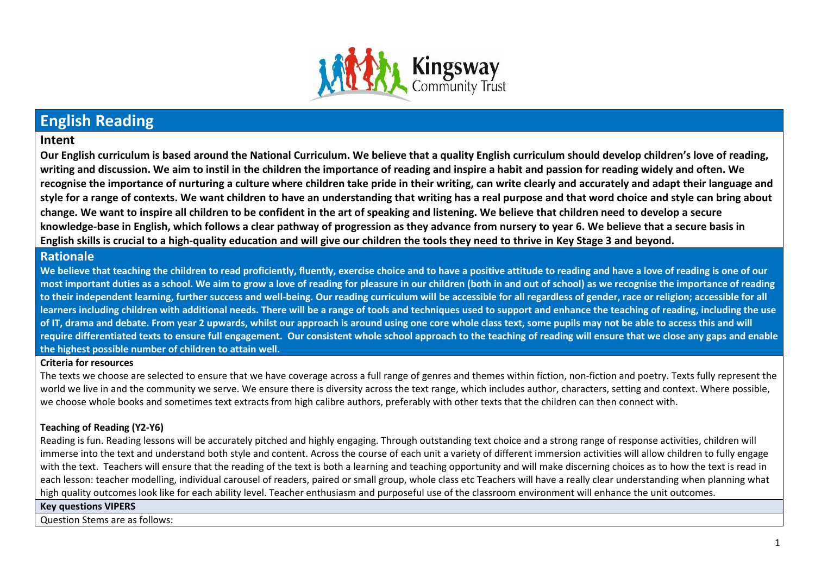

# **English Reading**

# **Intent**

**Our English curriculum is based around the National Curriculum. We believe that a quality English curriculum should develop children's love of reading, writing and discussion. We aim to instil in the children the importance of reading and inspire a habit and passion for reading widely and often. We recognise the importance of nurturing a culture where children take pride in their writing, can write clearly and accurately and adapt their language and style for a range of contexts. We want children to have an understanding that writing has a real purpose and that word choice and style can bring about change. We want to inspire all children to be confident in the art of speaking and listening. We believe that children need to develop a secure knowledge-base in English, which follows a clear pathway of progression as they advance from nursery to year 6. We believe that a secure basis in English skills is crucial to a high-quality education and will give our children the tools they need to thrive in Key Stage 3 and beyond.**

# **Rationale**

We believe that teaching the children to read proficiently, fluently, exercise choice and to have a positive attitude to reading and have a love of reading is one of our **most important duties as a school. We aim to grow a love of reading for pleasure in our children (both in and out of school) as we recognise the importance of reading to their independent learning, further success and well-being. Our reading curriculum will be accessible for all regardless of gender, race or religion; accessible for all learners including children with additional needs. There will be a range of tools and techniques used to support and enhance the teaching of reading, including the use of IT, drama and debate. From year 2 upwards, whilst our approach is around using one core whole class text, some pupils may not be able to access this and will require differentiated texts to ensure full engagement. Our consistent whole school approach to the teaching of reading will ensure that we close any gaps and enable the highest possible number of children to attain well.** 

#### **Criteria for resources**

The texts we choose are selected to ensure that we have coverage across a full range of genres and themes within fiction, non-fiction and poetry. Texts fully represent the world we live in and the community we serve. We ensure there is diversity across the text range, which includes author, characters, setting and context. Where possible, we choose whole books and sometimes text extracts from high calibre authors, preferably with other texts that the children can then connect with.

### **Teaching of Reading (Y2-Y6)**

Reading is fun. Reading lessons will be accurately pitched and highly engaging. Through outstanding text choice and a strong range of response activities, children will immerse into the text and understand both style and content. Across the course of each unit a variety of different immersion activities will allow children to fully engage with the text. Teachers will ensure that the reading of the text is both a learning and teaching opportunity and will make discerning choices as to how the text is read in each lesson: teacher modelling, individual carousel of readers, paired or small group, whole class etc Teachers will have a really clear understanding when planning what high quality outcomes look like for each ability level. Teacher enthusiasm and purposeful use of the classroom environment will enhance the unit outcomes.

#### **Key questions VIPERS**

Question Stems are as follows: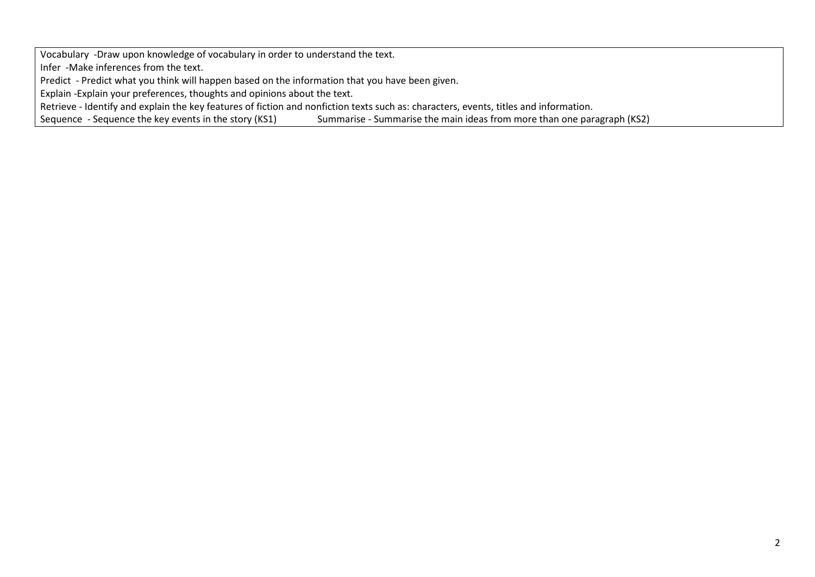Vocabulary -Draw upon knowledge of vocabulary in order to understand the text.

Infer -Make inferences from the text.

Predict - Predict what you think will happen based on the information that you have been given.

Explain -Explain your preferences, thoughts and opinions about the text.

Retrieve - Identify and explain the key features of fiction and nonfiction texts such as: characters, events, titles and information.<br>Sequence - Sequence the key events in the story (KS1) Summarise - Summarise the main ide

Summarise - Summarise the main ideas from more than one paragraph (KS2)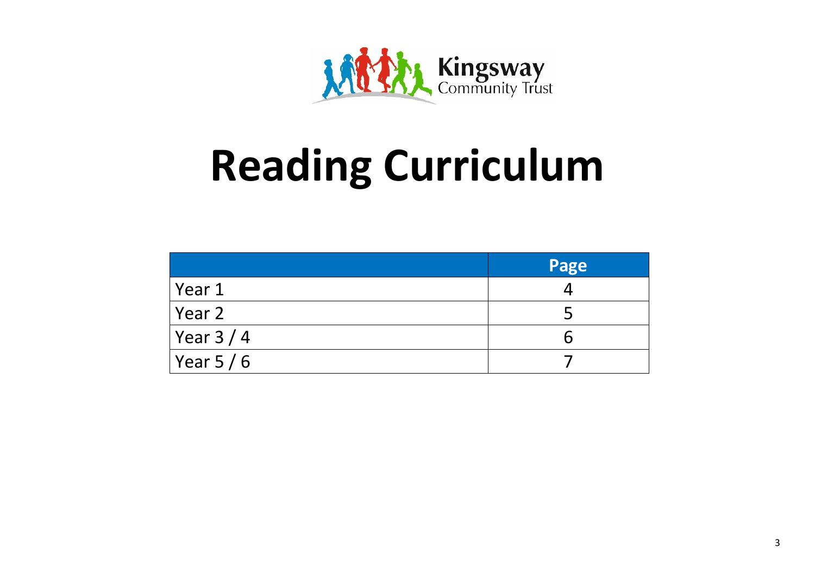

# **Reading Curriculum**

|                     | Page |  |
|---------------------|------|--|
| Year 1              |      |  |
| Year 2              |      |  |
| $\sqrt{$ Year 3 / 4 |      |  |
| Year 5/6            |      |  |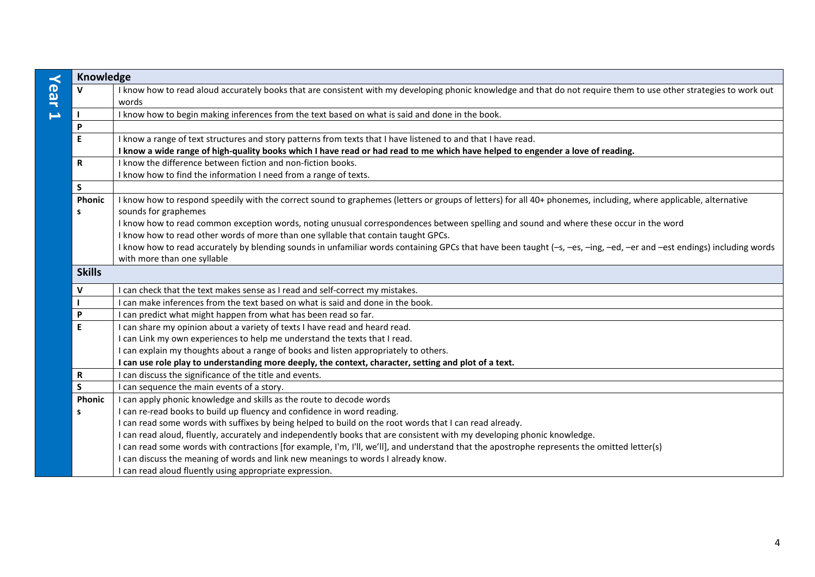| $\prec$ | Knowledge          |                                                                                                                                                                                                                                                 |
|---------|--------------------|-------------------------------------------------------------------------------------------------------------------------------------------------------------------------------------------------------------------------------------------------|
| ear     | $\mathbf{v}$       | I know how to read aloud accurately books that are consistent with my developing phonic knowledge and that do not require them to use other strategies to work out<br>words                                                                     |
| ⊨       |                    | I know how to begin making inferences from the text based on what is said and done in the book.                                                                                                                                                 |
|         | P                  |                                                                                                                                                                                                                                                 |
|         | $\mathsf E$        | I know a range of text structures and story patterns from texts that I have listened to and that I have read.<br>I know a wide range of high-quality books which I have read or had read to me which have helped to engender a love of reading. |
|         | $\mathbf R$        | I know the difference between fiction and non-fiction books.                                                                                                                                                                                    |
|         |                    | I know how to find the information I need from a range of texts.                                                                                                                                                                                |
|         | S.                 |                                                                                                                                                                                                                                                 |
|         | Phonic<br><b>S</b> | I know how to respond speedily with the correct sound to graphemes (letters or groups of letters) for all 40+ phonemes, including, where applicable, alternative<br>sounds for graphemes                                                        |
|         |                    | I know how to read common exception words, noting unusual correspondences between spelling and sound and where these occur in the word<br>I know how to read other words of more than one syllable that contain taught GPCs.                    |
|         |                    | I know how to read accurately by blending sounds in unfamiliar words containing GPCs that have been taught (-s, -es, -ing, -ed, -er and -est endings) including words<br>with more than one syllable                                            |
|         | <b>Skills</b>      |                                                                                                                                                                                                                                                 |
|         | $\mathbf{V}$       | I can check that the text makes sense as I read and self-correct my mistakes.                                                                                                                                                                   |
|         |                    | can make inferences from the text based on what is said and done in the book.                                                                                                                                                                   |
|         | P                  | can predict what might happen from what has been read so far.                                                                                                                                                                                   |
|         | E                  | can share my opinion about a variety of texts I have read and heard read.                                                                                                                                                                       |
|         |                    | I can Link my own experiences to help me understand the texts that I read.                                                                                                                                                                      |
|         |                    | I can explain my thoughts about a range of books and listen appropriately to others.                                                                                                                                                            |
|         |                    | I can use role play to understanding more deeply, the context, character, setting and plot of a text.                                                                                                                                           |
|         | R                  | can discuss the significance of the title and events.                                                                                                                                                                                           |
|         | <b>S</b>           | I can sequence the main events of a story.                                                                                                                                                                                                      |
|         | Phonic             | I can apply phonic knowledge and skills as the route to decode words                                                                                                                                                                            |
|         | s                  | I can re-read books to build up fluency and confidence in word reading.                                                                                                                                                                         |
|         |                    | I can read some words with suffixes by being helped to build on the root words that I can read already.                                                                                                                                         |
|         |                    | I can read aloud, fluently, accurately and independently books that are consistent with my developing phonic knowledge.                                                                                                                         |
|         |                    | can read some words with contractions [for example, I'm, I'll, we'll], and understand that the apostrophe represents the omitted letter(s)                                                                                                      |
|         |                    | I can discuss the meaning of words and link new meanings to words I already know.                                                                                                                                                               |
|         |                    | I can read aloud fluently using appropriate expression.                                                                                                                                                                                         |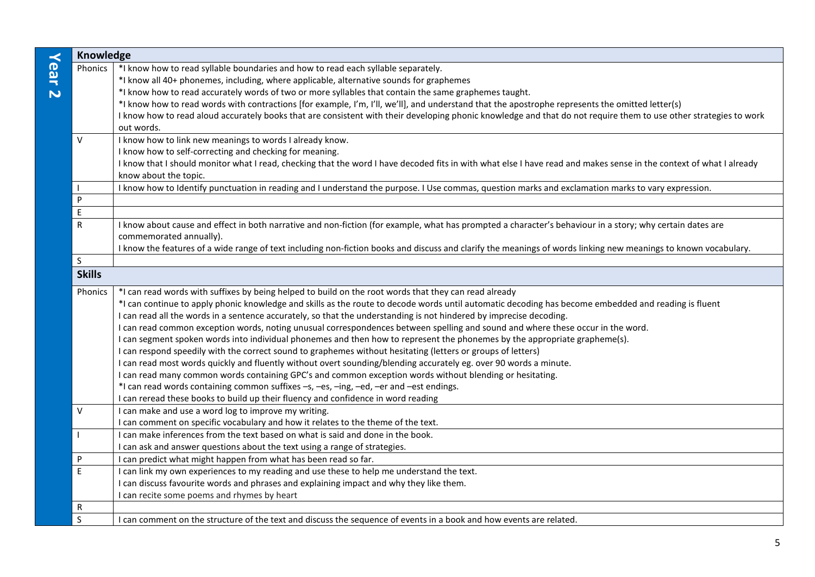| $\prec$             | Knowledge         |                                                                                                                                                                                                                                                                                                                                                                                                                                                                                                                                                                                                                                                                                                                                                                                                                                                                                                                                                                                                                                                                                                                                                                                                                                               |  |
|---------------------|-------------------|-----------------------------------------------------------------------------------------------------------------------------------------------------------------------------------------------------------------------------------------------------------------------------------------------------------------------------------------------------------------------------------------------------------------------------------------------------------------------------------------------------------------------------------------------------------------------------------------------------------------------------------------------------------------------------------------------------------------------------------------------------------------------------------------------------------------------------------------------------------------------------------------------------------------------------------------------------------------------------------------------------------------------------------------------------------------------------------------------------------------------------------------------------------------------------------------------------------------------------------------------|--|
| ear<br>$\mathbf{v}$ | Phonics           | *I know how to read syllable boundaries and how to read each syllable separately.<br>*I know all 40+ phonemes, including, where applicable, alternative sounds for graphemes<br>*I know how to read accurately words of two or more syllables that contain the same graphemes taught.<br>*I know how to read words with contractions [for example, I'm, I'll, we'll], and understand that the apostrophe represents the omitted letter(s)<br>I know how to read aloud accurately books that are consistent with their developing phonic knowledge and that do not require them to use other strategies to work<br>out words.                                                                                                                                                                                                                                                                                                                                                                                                                                                                                                                                                                                                                  |  |
|                     | $\vee$            | I know how to link new meanings to words I already know.<br>I know how to self-correcting and checking for meaning.<br>I know that I should monitor what I read, checking that the word I have decoded fits in with what else I have read and makes sense in the context of what I already<br>know about the topic.<br>I know how to Identify punctuation in reading and I understand the purpose. I Use commas, question marks and exclamation marks to vary expression.                                                                                                                                                                                                                                                                                                                                                                                                                                                                                                                                                                                                                                                                                                                                                                     |  |
|                     | P                 |                                                                                                                                                                                                                                                                                                                                                                                                                                                                                                                                                                                                                                                                                                                                                                                                                                                                                                                                                                                                                                                                                                                                                                                                                                               |  |
|                     | E                 |                                                                                                                                                                                                                                                                                                                                                                                                                                                                                                                                                                                                                                                                                                                                                                                                                                                                                                                                                                                                                                                                                                                                                                                                                                               |  |
|                     | $\mathsf{R}$      | I know about cause and effect in both narrative and non-fiction (for example, what has prompted a character's behaviour in a story; why certain dates are<br>commemorated annually).<br>I know the features of a wide range of text including non-fiction books and discuss and clarify the meanings of words linking new meanings to known vocabulary.                                                                                                                                                                                                                                                                                                                                                                                                                                                                                                                                                                                                                                                                                                                                                                                                                                                                                       |  |
|                     | $\mathsf{S}$      |                                                                                                                                                                                                                                                                                                                                                                                                                                                                                                                                                                                                                                                                                                                                                                                                                                                                                                                                                                                                                                                                                                                                                                                                                                               |  |
|                     | <b>Skills</b>     |                                                                                                                                                                                                                                                                                                                                                                                                                                                                                                                                                                                                                                                                                                                                                                                                                                                                                                                                                                                                                                                                                                                                                                                                                                               |  |
|                     | Phonics<br>$\vee$ | *I can read words with suffixes by being helped to build on the root words that they can read already<br>*I can continue to apply phonic knowledge and skills as the route to decode words until automatic decoding has become embedded and reading is fluent<br>I can read all the words in a sentence accurately, so that the understanding is not hindered by imprecise decoding.<br>I can read common exception words, noting unusual correspondences between spelling and sound and where these occur in the word.<br>I can segment spoken words into individual phonemes and then how to represent the phonemes by the appropriate grapheme(s).<br>I can respond speedily with the correct sound to graphemes without hesitating (letters or groups of letters)<br>I can read most words quickly and fluently without overt sounding/blending accurately eg. over 90 words a minute.<br>I can read many common words containing GPC's and common exception words without blending or hesitating.<br>*I can read words containing common suffixes -s, -es, -ing, -ed, -er and -est endings.<br>I can reread these books to build up their fluency and confidence in word reading<br>I can make and use a word log to improve my writing. |  |
|                     |                   | I can comment on specific vocabulary and how it relates to the theme of the text.                                                                                                                                                                                                                                                                                                                                                                                                                                                                                                                                                                                                                                                                                                                                                                                                                                                                                                                                                                                                                                                                                                                                                             |  |
|                     |                   | I can make inferences from the text based on what is said and done in the book.<br>I can ask and answer questions about the text using a range of strategies.                                                                                                                                                                                                                                                                                                                                                                                                                                                                                                                                                                                                                                                                                                                                                                                                                                                                                                                                                                                                                                                                                 |  |
|                     | P                 | can predict what might happen from what has been read so far.                                                                                                                                                                                                                                                                                                                                                                                                                                                                                                                                                                                                                                                                                                                                                                                                                                                                                                                                                                                                                                                                                                                                                                                 |  |
|                     | $\mathsf E$       | I can link my own experiences to my reading and use these to help me understand the text.<br>I can discuss favourite words and phrases and explaining impact and why they like them.<br>can recite some poems and rhymes by heart                                                                                                                                                                                                                                                                                                                                                                                                                                                                                                                                                                                                                                                                                                                                                                                                                                                                                                                                                                                                             |  |
|                     | R                 |                                                                                                                                                                                                                                                                                                                                                                                                                                                                                                                                                                                                                                                                                                                                                                                                                                                                                                                                                                                                                                                                                                                                                                                                                                               |  |
|                     | S                 | I can comment on the structure of the text and discuss the sequence of events in a book and how events are related.                                                                                                                                                                                                                                                                                                                                                                                                                                                                                                                                                                                                                                                                                                                                                                                                                                                                                                                                                                                                                                                                                                                           |  |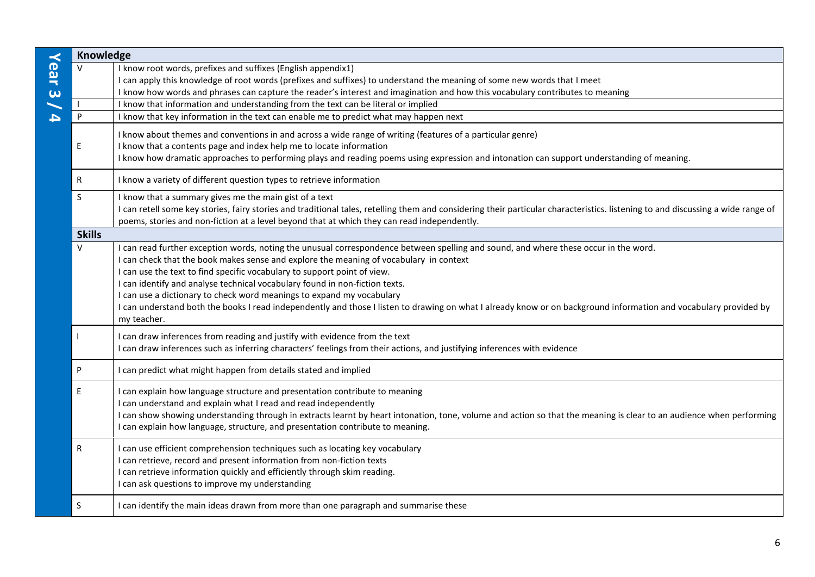|                               | Knowledge     |                                                                                                                                                                                                                                                                                                                                                                                                                                                                                                                                                                                                                                                        |  |
|-------------------------------|---------------|--------------------------------------------------------------------------------------------------------------------------------------------------------------------------------------------------------------------------------------------------------------------------------------------------------------------------------------------------------------------------------------------------------------------------------------------------------------------------------------------------------------------------------------------------------------------------------------------------------------------------------------------------------|--|
| Year<br>$\boldsymbol{\omega}$ | $\vee$        | I know root words, prefixes and suffixes (English appendix1)<br>I can apply this knowledge of root words (prefixes and suffixes) to understand the meaning of some new words that I meet<br>I know how words and phrases can capture the reader's interest and imagination and how this vocabulary contributes to meaning                                                                                                                                                                                                                                                                                                                              |  |
|                               |               | I know that information and understanding from the text can be literal or implied                                                                                                                                                                                                                                                                                                                                                                                                                                                                                                                                                                      |  |
| 4                             | P             | I know that key information in the text can enable me to predict what may happen next                                                                                                                                                                                                                                                                                                                                                                                                                                                                                                                                                                  |  |
|                               | Е             | I know about themes and conventions in and across a wide range of writing (features of a particular genre)<br>I know that a contents page and index help me to locate information<br>I know how dramatic approaches to performing plays and reading poems using expression and intonation can support understanding of meaning.                                                                                                                                                                                                                                                                                                                        |  |
|                               | ${\sf R}$     | I know a variety of different question types to retrieve information                                                                                                                                                                                                                                                                                                                                                                                                                                                                                                                                                                                   |  |
|                               | S             | I know that a summary gives me the main gist of a text<br>I can retell some key stories, fairy stories and traditional tales, retelling them and considering their particular characteristics. listening to and discussing a wide range of<br>poems, stories and non-fiction at a level beyond that at which they can read independently.                                                                                                                                                                                                                                                                                                              |  |
|                               | <b>Skills</b> |                                                                                                                                                                                                                                                                                                                                                                                                                                                                                                                                                                                                                                                        |  |
|                               | $\vee$        | I can read further exception words, noting the unusual correspondence between spelling and sound, and where these occur in the word.<br>I can check that the book makes sense and explore the meaning of vocabulary in context<br>I can use the text to find specific vocabulary to support point of view.<br>I can identify and analyse technical vocabulary found in non-fiction texts.<br>I can use a dictionary to check word meanings to expand my vocabulary<br>I can understand both the books I read independently and those I listen to drawing on what I already know or on background information and vocabulary provided by<br>my teacher. |  |
|                               |               | I can draw inferences from reading and justify with evidence from the text<br>I can draw inferences such as inferring characters' feelings from their actions, and justifying inferences with evidence                                                                                                                                                                                                                                                                                                                                                                                                                                                 |  |
|                               | P             | I can predict what might happen from details stated and implied                                                                                                                                                                                                                                                                                                                                                                                                                                                                                                                                                                                        |  |
|                               | E             | I can explain how language structure and presentation contribute to meaning<br>I can understand and explain what I read and read independently<br>I can show showing understanding through in extracts learnt by heart intonation, tone, volume and action so that the meaning is clear to an audience when performing<br>I can explain how language, structure, and presentation contribute to meaning.                                                                                                                                                                                                                                               |  |
|                               | ${\sf R}$     | I can use efficient comprehension techniques such as locating key vocabulary<br>I can retrieve, record and present information from non-fiction texts<br>I can retrieve information quickly and efficiently through skim reading.<br>I can ask questions to improve my understanding                                                                                                                                                                                                                                                                                                                                                                   |  |
|                               | S             | I can identify the main ideas drawn from more than one paragraph and summarise these                                                                                                                                                                                                                                                                                                                                                                                                                                                                                                                                                                   |  |